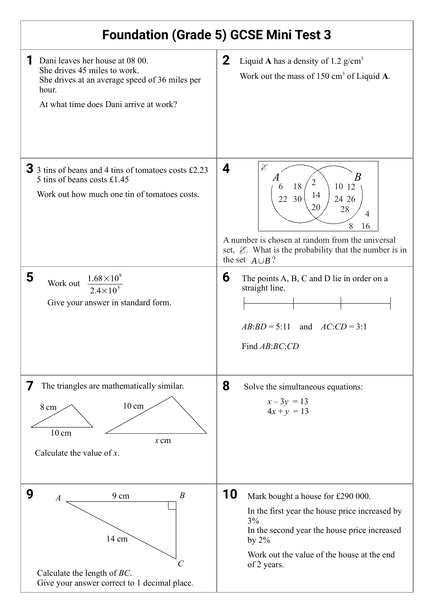## **Foundation (Grade 5) GCSE Mini Test 3**

| Dani leaves her house at 08 00.<br>She drives 45 miles to work.<br>She drives at an average speed of 36 miles per<br>hour.<br>At what time does Dani arrive at work? | $\mathbf{2}$<br>Liquid A has a density of 1.2 $g/cm^3$<br>Work out the mass of $150 \text{ cm}^3$ of Liquid A.                                                                                                                                                         |
|----------------------------------------------------------------------------------------------------------------------------------------------------------------------|------------------------------------------------------------------------------------------------------------------------------------------------------------------------------------------------------------------------------------------------------------------------|
| $\overline{3}$ 3 tins of beans and 4 tins of tomatoes costs £2.23<br>5 tins of beans costs £1.45<br>Work out how much one tin of tomatoes costs.                     | Ê<br>4<br>B<br>$\overline{2}$<br>18<br>10 12<br>6<br>14<br>30<br>22<br>24 26<br>20<br>28<br>$\overline{4}$<br>8<br>16<br>A number is chosen at random from the universal<br>set, $\mathcal{E}$ . What is the probability that the number is in<br>the set $A \cup B$ ? |
| 5<br>$1.68 \times 10^{9}$<br>Work out<br>$2.4\times10^5$<br>Give your answer in standard form.                                                                       | 6<br>The points A, B, C and D lie in order on a<br>straight line.<br>$AB:BD = 5:11$ and $AC:CD = 3:1$<br>Find AB:BC:CD                                                                                                                                                 |
| The triangles are mathematically similar.<br>$10 \text{ cm}$<br>$8 \text{ cm}$<br>$10 \text{ cm}$<br>$x$ cm<br>Calculate the value of $x$ .                          | 8<br>Solve the simultaneous equations:<br>$x - 3y = 13$<br>$4x + y = 13$                                                                                                                                                                                               |
| 9<br>$\overline{B}$<br>9 cm<br>$\boldsymbol{A}$<br>14 cm<br>C<br>Calculate the length of $BC$ .<br>Give your answer correct to 1 decimal place.                      | 10<br>Mark bought a house for £290 000.<br>In the first year the house price increased by<br>3%<br>In the second year the house price increased<br>by $2\%$<br>Work out the value of the house at the end<br>of 2 years.                                               |